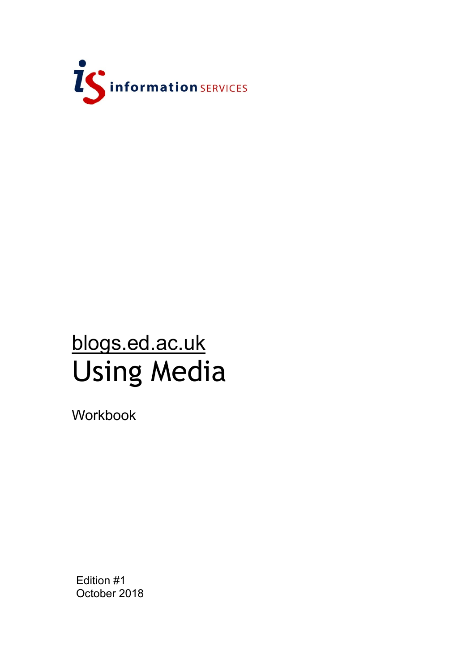

# blogs.ed.ac.uk Using Media

Workbook

Edition #1 October 2018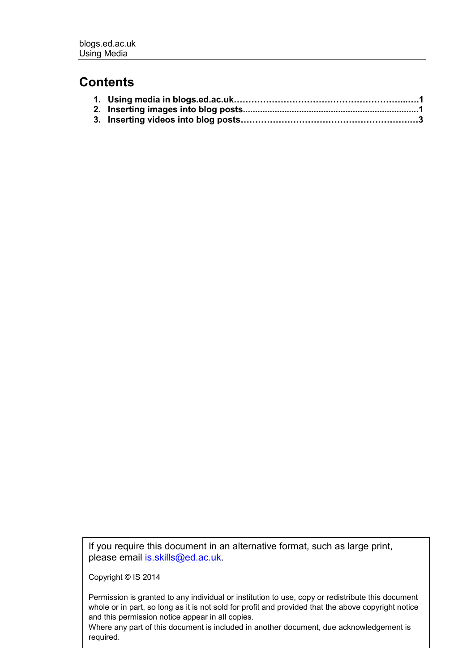#### **Contents**

If you require this document in an alternative format, such as large print, please email [is.skills@ed.ac.uk.](mailto:is.skills@ed.ac.uk)

Copyright © IS 2014

Permission is granted to any individual or institution to use, copy or redistribute this document whole or in part, so long as it is not sold for profit and provided that the above copyright notice and this permission notice appear in all copies.

Where any part of this document is included in another document, due acknowledgement is required.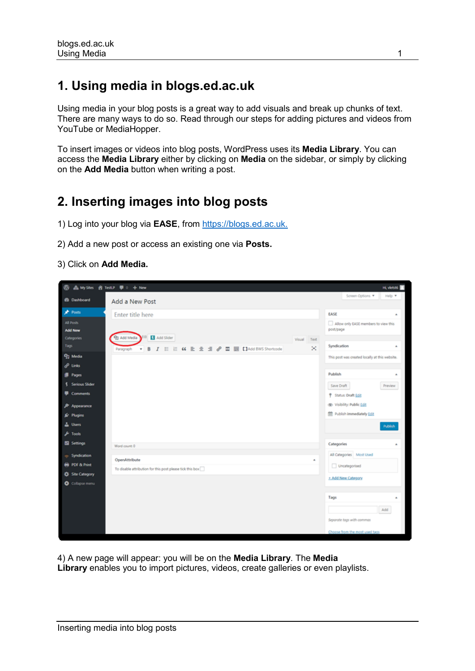## **1. Using media in blogs.ed.ac.uk**

Using media in your blog posts is a great way to add visuals and break up chunks of text. There are many ways to do so. Read through our steps for adding pictures and videos from YouTube or MediaHopper.

To insert images or videos into blog posts, WordPress uses its **Media Library**. You can access the **Media Library** either by clicking on **Media** on the sidebar, or simply by clicking on the **Add Media** button when writing a post.

### **2. Inserting images into blog posts**

- 1) Log into your blog via **EASE**, from [https://blogs.ed.ac.uk.](https://blogs.ed.ac.uk/)
- 2) Add a new post or access an existing one via **Posts.**

#### 3) Click on **Add Media.**

| ®                                                                                                                                             | ▲ My Shes 音 TestiP 甲 0 + New                                                                |                     | Hi, vietas                                                                                                                                                                            |
|-----------------------------------------------------------------------------------------------------------------------------------------------|---------------------------------------------------------------------------------------------|---------------------|---------------------------------------------------------------------------------------------------------------------------------------------------------------------------------------|
| <b>CO</b> Dashboard                                                                                                                           | Add a New Post                                                                              |                     | Screen Options<br>Help v                                                                                                                                                              |
| Posts                                                                                                                                         | Enter title here                                                                            |                     | <b>LASE</b><br>٠                                                                                                                                                                      |
| <b>All Posts</b><br>Add New<br>Categories                                                                                                     | 111 M Add Slider<br>91 Add Media                                                            |                     | Allow only EASE members to view this<br>post/page                                                                                                                                     |
| Tags                                                                                                                                          |                                                                                             | Visual<br>Text<br>× | Syndication<br>٠                                                                                                                                                                      |
| <sup>Q</sup> 1 Media<br>d <sup>0</sup> Links<br><b>Reges</b><br>\$ Serious Slider<br>Comments<br>P Appearance<br><b>Er</b> Plugins<br>& Users | B I E E K E 호 크 & 프 클 [14dd BWS Shortcode]<br>Paragraph<br>×.                               |                     | This post was created locally at this website.<br>Publish<br>٠<br>Save Draft<br>Preview<br>P Status: Draft Edit<br>@ Visibility: Public Edit<br>館 Publish immediately Edit<br>Publish |
| $F$ Tools<br>El Settings                                                                                                                      |                                                                                             |                     | Categories                                                                                                                                                                            |
| Syndication<br><b>PDF &amp; Print</b><br><b>C</b> Site Category<br><b>O</b> Collapse menu                                                     | Word count: 0<br>OpenAttribute<br>To disable attribution for this post please tick this box | ٠                   | All Categories Most Used<br>Uncategorised<br>+ Add New Category<br>Tags<br>٠<br>Add<br>Separate tags with commas<br>Choose from the most used tags                                    |

4) A new page will appear: you will be on the **Media Library**. The **Media Library** enables you to import pictures, videos, create galleries or even playlists.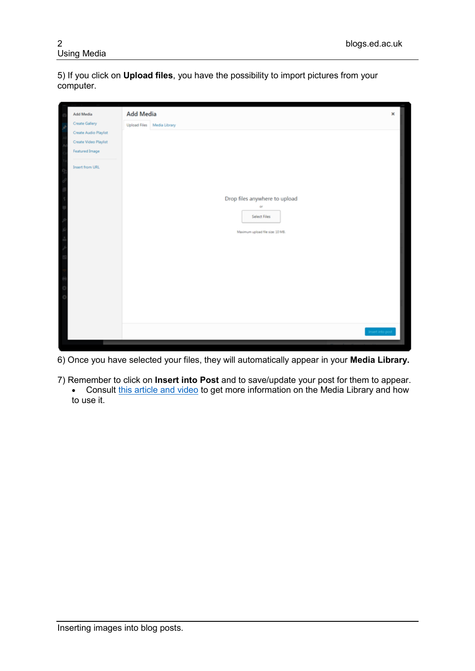5) If you click on **Upload files**, you have the possibility to import pictures from your computer.

| Add Media<br>٠            | Add Media                        | × |
|---------------------------|----------------------------------|---|
| Create Gallery<br>y,      | Upload Files Media Library       |   |
| Create Audio Playlist     |                                  |   |
| Create Video Playlist     |                                  |   |
| Featured Image            |                                  |   |
| Insert from URL<br>×<br>ı |                                  |   |
| ٠                         | Drop files anywhere to upload    |   |
| ٥<br>y                    | 6ŕ<br><b>Select Files</b>        |   |
| k                         | Maximum upload file size: 10 MB. |   |
| k<br>ų                    |                                  |   |
| E                         |                                  |   |
|                           |                                  |   |
| ł<br>ķ                    |                                  |   |
| k                         |                                  |   |
|                           |                                  |   |
|                           | Insert into post                 |   |
|                           |                                  |   |

6) Once you have selected your files, they will automatically appear in your **Media Library.**

7) Remember to click on **Insert into Post** and to save/update your post for them to appear. • Consult [this article and video](https://ithemes.com/tutorials/using-the-wordpress-media-library/) to get more information on the Media Library and how to use it.